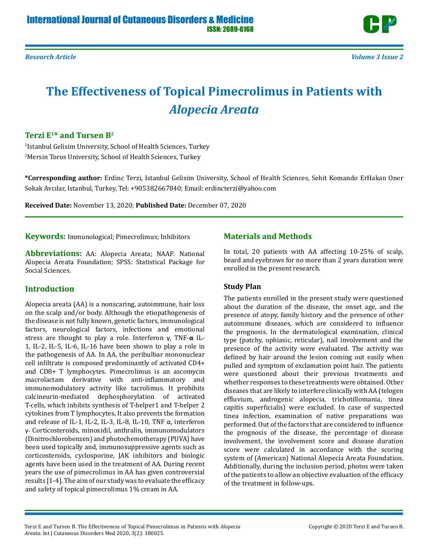

# **The Effectiveness of Topical Pimecrolimus in Patients with**  *Alopecia Areata*

# **Terzi E1\* and Tursen B2**

1 Istanbul Gelisim University, School of Health Sciences, Turkey 2 Mersin Toros University, School of Health Sciences, Turkey

**\*Corresponding author:** Erdinc Terzi, Istanbul Gelisim University, School of Health Sciences, Sehit Komando ErHakan Oner Sokak Avcılar, Istanbul, Turkey, Tel: +905382667840; Email: erdincterzi@yahoo.com

**Received Date:** November 13, 2020; **Published Date:** December 07, 2020

**Keywords:** Immunological; Pimecrolimus; Inhibitors

**Abbreviations:** AA: Alopecia Areata; NAAF: National Alopecia Areata Foundation; SPSS: Statistical Package for Social Sciences.

## **Introduction**

Alopecia areata (AA) is a nonscaring, autoimmune, hair loss on the scalp and/or body. Although the etiopathogenesis of the disease is not fully known, genetic factors, immunological factors, neurological factors, infections and emotional stress are thought to play a role. Interferon γ, TNF-**α** IL-1, IL-2, IL-5, IL-6, IL-16 have been shown to play a role in the pathogenesis of AA. In AA, the peribulbar mononuclear cell infiltrate is composed predominantly of activated CD4+ and CD8+ T lymphocytes. Pimecrolimus is an ascomycin macrolactam derivative with anti-inflammatory and immunomodulatory activity like tacrolimus. It prohibits calcineurin-mediated dephosphorylation of activated T-cells, which inhibits synthesis of T-helper1 and T-helper 2 cytokines from T lymphocytes**.** It also prevents the formation and release of IL-1, IL-2, IL-3, IL-8, IL-10, TNF α, interferon γ. Corticosteroids, minoxidil, anthralin, immunomodulators (Dinitrochlorobenzen) and photochemotherapy (PUVA) have been used topically and, immunosuppressive agents such as corticosteroids, cyclosporine, JAK inhibitors and biologic agents have been used in the treatment of AA. During recent years the use of pimecrolimus in AA has given controversial results [1-4]. The aim of our study was to evaluate the efficacy and safety of topical pimecrolimus 1% cream in AA.

# **Materials and Methods**

In total, 20 patients with AA affecting 10-25% of scalp, beard and eyebrows for no more than 2 years duration were enrolled in the present research.

## **Study Plan**

The patients enrolled in the present study were questioned about the duration of the disease, the onset age, and the presence of atopy, family history and the presence of other autoimmune diseases, which are considered to influence the prognosis. In the dermatological examination, clinical type (patchy, ophiasic, reticular), nail involvement and the presence of the activity were evaluated. The activity was defined by hair around the lesion coming out easily when pulled and symptom of exclamation point hair. The patients were questioned about their previous treatments and whether responses to these treatments were obtained. Other diseases that are likely to interfere clinically with AA (telogen effluvium, androgenic alopecia, trichotillomania, tinea capitis superficialis) were excluded. In case of suspected tinea infection, examination of native preparations was performed. Out of the factors that are considered to influence the prognosis of the disease, the percentage of disease involvement, the involvement score and disease duration score were calculated in accordance with the scoring system of (American) National Alopecia Areata Foundation. Additionally, during the inclusion period, photos were taken of the patients to allow an objective evaluation of the efficacy of the treatment in follow-ups.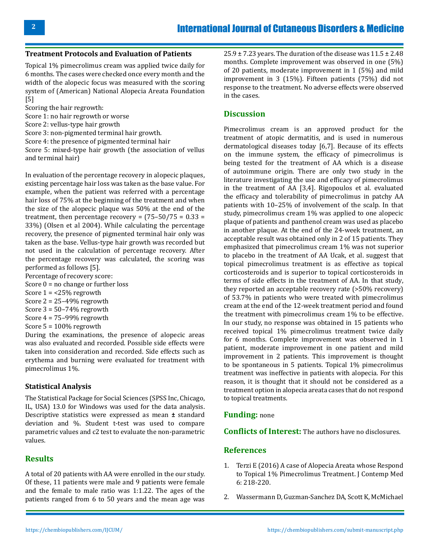#### **Treatment Protocols and Evaluation of Patients**

Topical 1% pimecrolimus cream was applied twice daily for 6 months. The cases were checked once every month and the width of the alopecic focus was measured with the scoring system of (American) National Alopecia Areata Foundation [5]

Scoring the hair regrowth:

Score 1: no hair regrowth or worse

Score 2: vellus-type hair growth

Score 3: non-pigmented terminal hair growth.

Score 4: the presence of pigmented terminal hair

Score 5: mixed-type hair growth (the association of vellus and terminal hair)

In evaluation of the percentage recovery in alopecic plaques, existing percentage hair loss was taken as the base value. For example, when the patient was referred with a percentage hair loss of 75% at the beginning of the treatment and when the size of the alopecic plaque was 50% at the end of the treatment, then percentage recovery =  $(75-50/75 = 0.33 =$ 33%) (Olsen et al 2004). While calculating the percentage recovery, the presence of pigmented terminal hair only was taken as the base. Vellus-type hair growth was recorded but not used in the calculation of percentage recovery. After the percentage recovery was calculated, the scoring was performed as follows [5].

- Percentage of recovery score:
- Score  $0 = no$  change or further loss
- Score  $1 = 25\%$  regrowth

Score  $2 = 25 - 49\%$  regrowth

Score  $3 = 50 - 74\%$  regrowth

- Score  $4 = 75-99\%$  regrowth
- Score 5 = 100% regrowth

During the examinations, the presence of alopecic areas was also evaluated and recorded. Possible side effects were taken into consideration and recorded. Side effects such as erythema and burning were evaluated for treatment with pimecrolimus 1%.

#### **Statistical Analysis**

The Statistical Package for Social Sciences (SPSS Inc, Chicago, IL, USA) 13.0 for Windows was used for the data analysis. Descriptive statistics were expressed as mean **±** standard deviation and %. Student t-test was used to compare parametric values and c2 test to evaluate the non-parametric values.

#### **Results**

A total of 20 patients with AA were enrolled in the our study. Of these, 11 patients were male and 9 patients were female and the female to male ratio was 1:1.22. The ages of the patients ranged from 6 to 50 years and the mean age was

 $25.9 \pm 7.23$  years. The duration of the disease was  $11.5 \pm 2.48$ months. Complete improvement was observed in one (5%) of 20 patients, moderate improvement in 1 (5%) and mild improvement in 3 (15%). Fifteen patients (75%) did not response to the treatment. No adverse effects were observed in the cases.

#### **Discussion**

Pimecrolimus cream is an approved product for the treatment of atopic dermatitis, and is used in numerous dermatological diseases today [6,7]. Because of its effects on the immune system, the efficacy of pimecrolimus is being tested for the treatment of AA which is a disease of autoimmune origin. There are only two study in the literature investigating the use and efficacy of pimecrolimus in the treatment of AA [3,4]. Rigopoulos et al. evaluated the efficacy and tolerability of pimecrolimus in patchy AA patients with 10–25% of involvement of the scalp. In that study, pimecrolimus cream 1% was applied to one alopecic plaque of patients and panthenol cream was used as placebo in another plaque. At the end of the 24-week treatment, an acceptable result was obtained only in 2 of 15 patients. They emphasized that pimecrolimus cream 1% was not superior to placebo in the treatment of AA Ucak, et al. suggest that topical pimecrolimus treatment is as effective as topical corticosteroids and is superior to topical corticosteroids in terms of side effects in the treatment of AA. In that study, they reported an acceptable recovery rate (>50% recovery) of 53.7% in patients who were treated with pimecrolimus cream at the end of the 12-week treatment period and found the treatment with pimecrolimus cream 1% to be effective. In our study, no response was obtained in 15 patients who received topical 1% pimecrolimus treatment twice daily for 6 months. Complete improvement was observed in 1 patient, moderate improvement in one patient and mild improvement in 2 patients. This improvement is thought to be spontaneous in 5 patients. Topical 1% pimecrolimus treatment was ineffective in patients with alopecia. For this reason, it is thought that it should not be considered as a treatment option in alopecia areata cases that do not respond to topical treatments.

#### **Funding:** none

**Conflicts of Interest:** The authors have no disclosures.

#### **References**

- 1. Terzi E (2016) A case of Alopecia Areata whose Respond to Topical 1% Pimecrolimus Treatment. J Contemp Med 6: 218-220.
- 2. [Wassermann D, Guzman-Sanchez DA, Scott K, McMichael](https://pubmed.ncbi.nlm.nih.gov/17269961/)